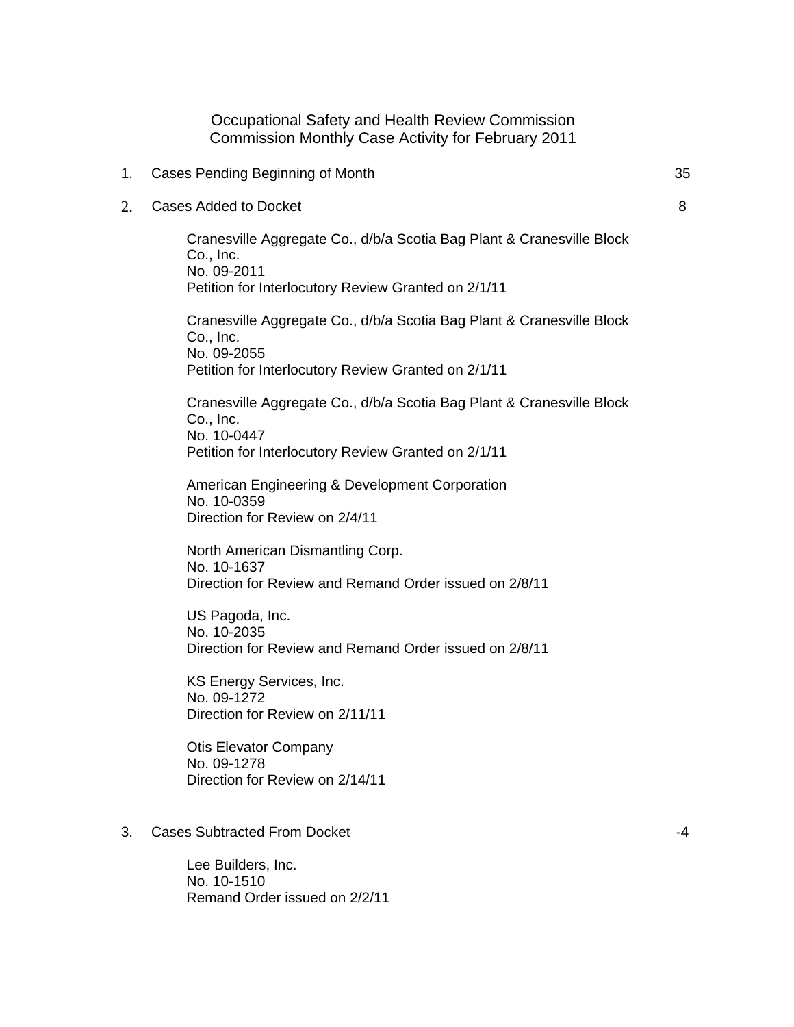Occupational Safety and Health Review Commission Commission Monthly Case Activity for February 2011

- 1. Cases Pending Beginning of Month 35
- 2. Cases Added to Docket

Cranesville Aggregate Co., d/b/a Scotia Bag Plant & Cranesville Block Co., Inc. No. 09-2011 Petition for Interlocutory Review Granted on 2/1/11

Cranesville Aggregate Co., d/b/a Scotia Bag Plant & Cranesville Block Co., Inc. No. 09-2055 Petition for Interlocutory Review Granted on 2/1/11

Cranesville Aggregate Co., d/b/a Scotia Bag Plant & Cranesville Block Co., Inc. No. 10-0447 Petition for Interlocutory Review Granted on 2/1/11

American Engineering & Development Corporation No. 10-0359 Direction for Review on 2/4/11

North American Dismantling Corp. No. 10-1637 Direction for Review and Remand Order issued on 2/8/11

US Pagoda, Inc. No. 10-2035 Direction for Review and Remand Order issued on 2/8/11

KS Energy Services, Inc. No. 09-1272 Direction for Review on 2/11/11

Otis Elevator Company No. 09-1278 Direction for Review on 2/14/11

3. Cases Subtracted From Docket

Lee Builders, Inc. No. 10-1510 Remand Order issued on 2/2/11